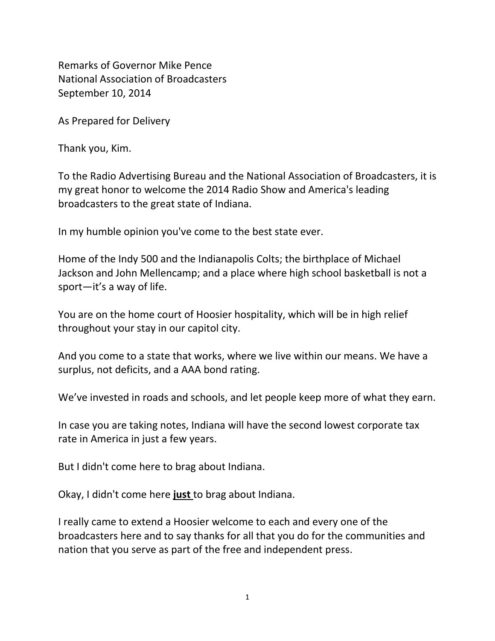Remarks of Governor Mike Pence National Association of Broadcasters September 10, 2014

As Prepared for Delivery

Thank you, Kim.

To the Radio Advertising Bureau and the National Association of Broadcasters, it is my great honor to welcome the 2014 Radio Show and America's leading broadcasters to the great state of Indiana.

In my humble opinion you've come to the best state ever.

Home of the Indy 500 and the Indianapolis Colts; the birthplace of Michael Jackson and John Mellencamp; and a place where high school basketball is not a sport—it's a way of life.

You are on the home court of Hoosier hospitality, which will be in high relief throughout your stay in our capitol city.

And you come to a state that works, where we live within our means. We have a surplus, not deficits, and a AAA bond rating.

We've invested in roads and schools, and let people keep more of what they earn.

In case you are taking notes, Indiana will have the second lowest corporate tax rate in America in just a few years.

But I didn't come here to brag about Indiana.

Okay, I didn't come here **just** to brag about Indiana.

I really came to extend a Hoosier welcome to each and every one of the broadcasters here and to say thanks for all that you do for the communities and nation that you serve as part of the free and independent press.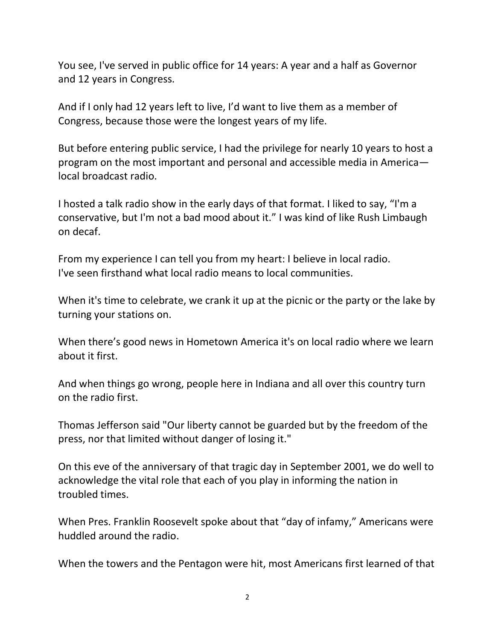You see, I've served in public office for 14 years: A year and a half as Governor and 12 years in Congress.

And if I only had 12 years left to live, I'd want to live them as a member of Congress, because those were the longest years of my life.

But before entering public service, I had the privilege for nearly 10 years to host a program on the most important and personal and accessible media in America local broadcast radio.

I hosted a talk radio show in the early days of that format. I liked to say, "I'm a conservative, but I'm not a bad mood about it." I was kind of like Rush Limbaugh on decaf.

From my experience I can tell you from my heart: I believe in local radio. I've seen firsthand what local radio means to local communities.

When it's time to celebrate, we crank it up at the picnic or the party or the lake by turning your stations on.

When there's good news in Hometown America it's on local radio where we learn about it first.

And when things go wrong, people here in Indiana and all over this country turn on the radio first.

Thomas Jefferson said "Our liberty cannot be guarded but by the freedom of the press, nor that limited without danger of losing it."

On this eve of the anniversary of that tragic day in September 2001, we do well to acknowledge the vital role that each of you play in informing the nation in troubled times.

When Pres. Franklin Roosevelt spoke about that "day of infamy," Americans were huddled around the radio.

When the towers and the Pentagon were hit, most Americans first learned of that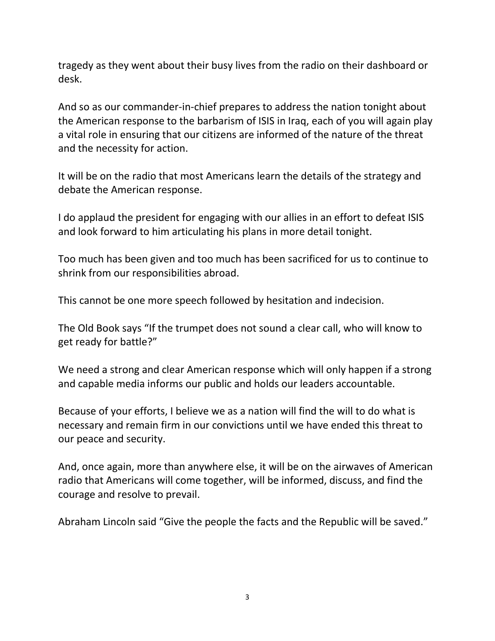tragedy as they went about their busy lives from the radio on their dashboard or desk.

And so as our commander-in-chief prepares to address the nation tonight about the American response to the barbarism of ISIS in Iraq, each of you will again play a vital role in ensuring that our citizens are informed of the nature of the threat and the necessity for action.

It will be on the radio that most Americans learn the details of the strategy and debate the American response.

I do applaud the president for engaging with our allies in an effort to defeat ISIS and look forward to him articulating his plans in more detail tonight.

Too much has been given and too much has been sacrificed for us to continue to shrink from our responsibilities abroad.

This cannot be one more speech followed by hesitation and indecision.

The Old Book says "If the trumpet does not sound a clear call, who will know to get ready for battle?"

We need a strong and clear American response which will only happen if a strong and capable media informs our public and holds our leaders accountable.

Because of your efforts, I believe we as a nation will find the will to do what is necessary and remain firm in our convictions until we have ended this threat to our peace and security.

And, once again, more than anywhere else, it will be on the airwaves of American radio that Americans will come together, will be informed, discuss, and find the courage and resolve to prevail.

Abraham Lincoln said "Give the people the facts and the Republic will be saved."